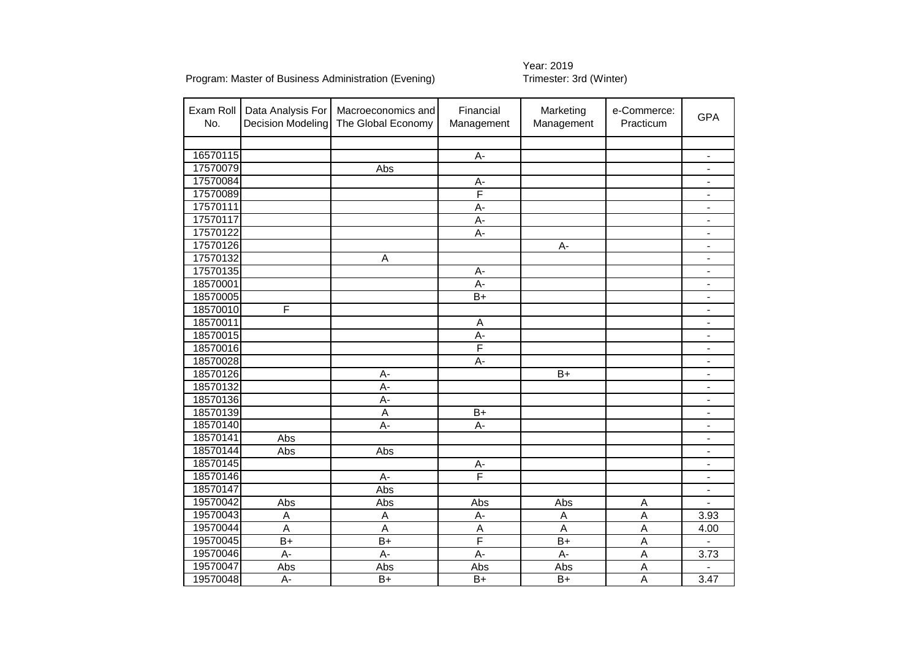| Exam Roll<br>No. | Data Analysis For<br><b>Decision Modeling</b> | Macroeconomics and<br>The Global Economy | Financial<br>Management | Marketing<br>e-Commerce:<br>Management<br>Practicum |                | <b>GPA</b>                   |
|------------------|-----------------------------------------------|------------------------------------------|-------------------------|-----------------------------------------------------|----------------|------------------------------|
|                  |                                               |                                          |                         |                                                     |                |                              |
| 16570115         |                                               |                                          | A-                      |                                                     |                |                              |
| 17570079         |                                               | Abs                                      |                         |                                                     |                |                              |
| 17570084         |                                               |                                          | $A -$                   |                                                     |                | $\overline{a}$               |
| 17570089         |                                               |                                          | F                       |                                                     |                | $\blacksquare$               |
| 17570111         |                                               |                                          | A-                      |                                                     |                | $\overline{a}$               |
| 17570117         |                                               |                                          | A-                      |                                                     |                | $\overline{\phantom{0}}$     |
| 17570122         |                                               |                                          | A-                      |                                                     |                | -                            |
| 17570126         |                                               |                                          |                         | A-                                                  |                | $\overline{a}$               |
| 17570132         |                                               | A                                        |                         |                                                     |                | $\blacksquare$               |
| 17570135         |                                               |                                          | A-                      |                                                     |                | $\overline{\phantom{0}}$     |
| 18570001         |                                               |                                          | A-                      |                                                     |                | $\overline{\phantom{0}}$     |
| 18570005         |                                               |                                          | $B+$                    |                                                     |                | $\overline{\phantom{0}}$     |
| 18570010         | F                                             |                                          |                         |                                                     |                | $\blacksquare$               |
| 18570011         |                                               |                                          | $\overline{A}$          |                                                     |                | $\qquad \qquad \blacksquare$ |
| 18570015         |                                               |                                          | A-                      |                                                     |                | $\qquad \qquad \blacksquare$ |
| 18570016         |                                               |                                          | F                       |                                                     |                | $\qquad \qquad \blacksquare$ |
| 18570028         |                                               |                                          | A-                      |                                                     |                | $\qquad \qquad \blacksquare$ |
| 18570126         |                                               | А-                                       |                         | $B+$                                                |                | $\qquad \qquad \blacksquare$ |
| 18570132         |                                               | A-                                       |                         |                                                     |                | $\blacksquare$               |
| 18570136         |                                               | A-                                       |                         |                                                     |                | $\overline{\phantom{0}}$     |
| 18570139         |                                               | A                                        | $B+$                    |                                                     |                | $\blacksquare$               |
| 18570140         |                                               | $\overline{A}$                           | A-                      |                                                     |                | $\blacksquare$               |
| 18570141         | Abs                                           |                                          |                         |                                                     |                | $\overline{\phantom{a}}$     |
| 18570144         | Abs                                           | Abs                                      |                         |                                                     |                | $\overline{\phantom{a}}$     |
| 18570145         |                                               |                                          | $A-$                    |                                                     |                | $\overline{\phantom{a}}$     |
| 18570146         |                                               | A-                                       | F                       |                                                     |                | $\overline{\phantom{0}}$     |
| 18570147         |                                               | Abs                                      |                         |                                                     |                | $\overline{\phantom{0}}$     |
| 19570042         | Abs                                           | Abs                                      | Abs                     | Abs                                                 | Α              |                              |
| 19570043         | A                                             | A                                        | A-                      | $\overline{A}$                                      | $\overline{A}$ | 3.93                         |
| 19570044         | $\overline{A}$                                | $\overline{A}$                           | $\overline{A}$          | $\overline{A}$                                      | $\overline{A}$ | 4.00                         |
| 19570045         | $\overline{B+}$                               | $B+$                                     | F                       | $\overline{B+}$                                     | A              |                              |
| 19570046         | A-                                            | A-                                       | A-                      | A-                                                  | A              | 3.73                         |
| 19570047         | Abs                                           | Abs                                      | Abs                     | Abs                                                 | A              |                              |
| 19570048         | A-                                            | $B+$                                     | $B+$                    | $B+$                                                | A              | 3.47                         |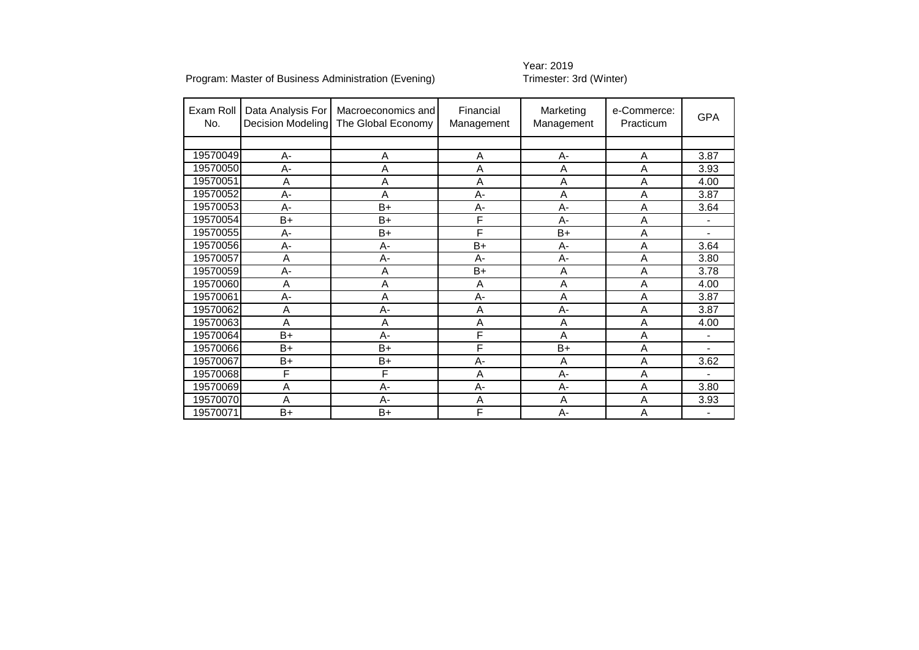# Year: 2019<br>Trimester: 3rd (Winter)

| Exam Roll<br>No. | Data Analysis For<br><b>Decision Modeling</b> | Macroeconomics and<br>The Global Economy | Financial<br>Management | Marketing<br>Management | e-Commerce:<br>Practicum | <b>GPA</b>               |
|------------------|-----------------------------------------------|------------------------------------------|-------------------------|-------------------------|--------------------------|--------------------------|
|                  |                                               |                                          |                         |                         |                          |                          |
| 19570049         | $A -$                                         | Α                                        | Α                       | $A-$                    | A                        | 3.87                     |
| 19570050         | A-                                            | Α                                        | Α                       | A                       | A                        | 3.93                     |
| 19570051         | A                                             | Α                                        | A                       | A                       | A                        | 4.00                     |
| 19570052         | A-                                            | Α                                        | A-                      | Α                       | A                        | 3.87                     |
| 19570053         | A-                                            | $B+$                                     | $A -$                   | A-                      | A                        | 3.64                     |
| 19570054         | B+                                            | $B+$                                     | F                       | А-                      | A                        | $\overline{a}$           |
| 19570055         | $A -$                                         | $B+$                                     | F                       | $B+$                    | A                        | $\overline{\phantom{0}}$ |
| 19570056         | A-                                            | $A -$                                    | $B+$                    | $A -$                   | A                        | 3.64                     |
| 19570057         | A                                             | А-                                       | $A-$                    | A-                      | A                        | 3.80                     |
| 19570059         | A-                                            | Α                                        | $B+$                    | Α                       | Α                        | 3.78                     |
| 19570060         | A                                             | А                                        | Α                       | A                       | A                        | 4.00                     |
| 19570061         | A-                                            | Α                                        | $A-$                    | A                       | A                        | 3.87                     |
| 19570062         | A                                             | А-                                       | A                       | A-                      | A                        | 3.87                     |
| 19570063         | A                                             | Α                                        | A                       | A                       | A                        | 4.00                     |
| 19570064         | $B+$                                          | $A-$                                     | F                       | A                       | A                        | $\overline{\phantom{0}}$ |
| 19570066         | $B+$                                          | $B+$                                     | F                       | $B+$                    | A                        | $\blacksquare$           |
| 19570067         | B+                                            | $B+$                                     | A-                      | A                       | A                        | 3.62                     |
| 19570068         | F                                             | F                                        | A                       | $A -$                   | A                        | $\overline{a}$           |
| 19570069         | A                                             | А-                                       | A-                      | A-                      | A                        | 3.80                     |
| 19570070         | A                                             | $A-$                                     | A                       | A                       | A                        | 3.93                     |
| 19570071         | $B+$                                          | $B+$                                     | F                       | А-                      | A                        | $\blacksquare$           |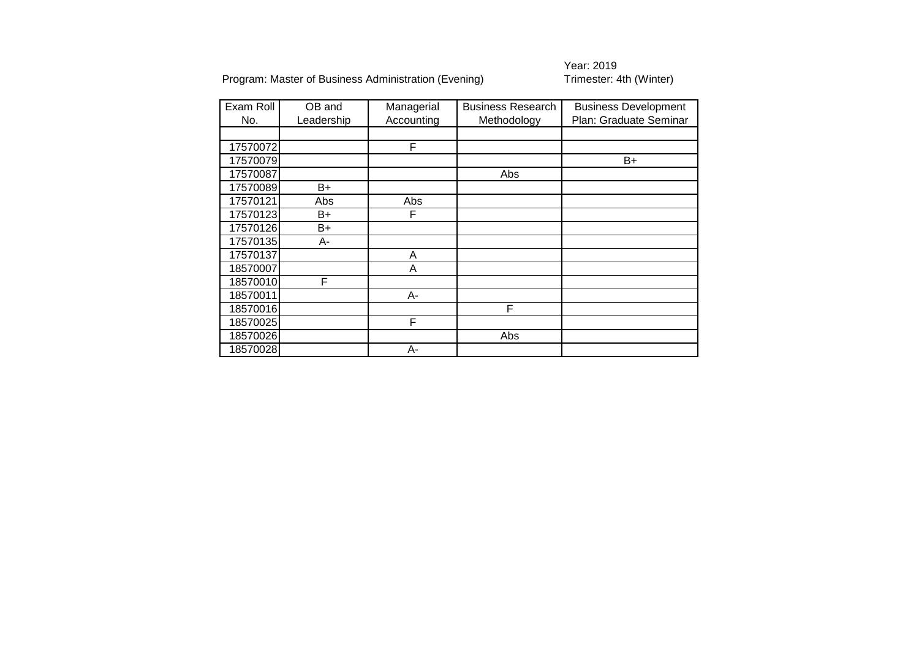Year: 2019<br>Trimester: 4th (Winter)

| Exam Roll | OB and     | Managerial | <b>Business Research</b> | <b>Business Development</b> |
|-----------|------------|------------|--------------------------|-----------------------------|
| No.       | Leadership | Accounting | Methodology              | Plan: Graduate Seminar      |
|           |            |            |                          |                             |
| 17570072  |            | F          |                          |                             |
| 17570079  |            |            |                          | $B+$                        |
| 17570087  |            |            | Abs                      |                             |
| 17570089  | B+         |            |                          |                             |
| 17570121  | Abs        | Abs        |                          |                             |
| 17570123  | B+         | F          |                          |                             |
| 17570126  | B+         |            |                          |                             |
| 17570135  | А-         |            |                          |                             |
| 17570137  |            | A          |                          |                             |
| 18570007  |            | Α          |                          |                             |
| 18570010  | F          |            |                          |                             |
| 18570011  |            | А-         |                          |                             |
| 18570016  |            |            | F                        |                             |
| 18570025  |            | F          |                          |                             |
| 18570026  |            |            | Abs                      |                             |
| 18570028  |            | А-         |                          |                             |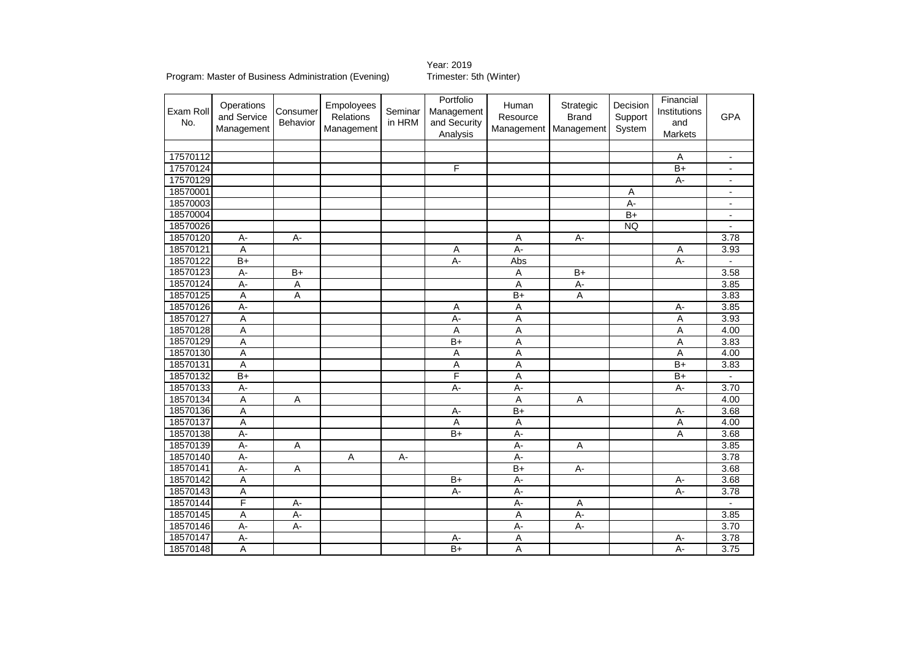Year: 2019

#### Program: Master of Business Administration (Evening) Trimester: 5th (Winter)

Exam Roll No. **Operations** and Service Management **Consumer** Behavior Empoloyees Relations Management Seminar in HRM Portfolio Management and Security Analysis Human **Resource** Management Strategic Brand Management Decision Support System Financial Institutions and Markets GPA 17570112 A - 17570124 F B+ - 17570129 A- - 18570001 | | | | | | | | | | | A | | | 18570003 A- - 18570004 | | | | | | | | | | | | | B+ | | | 18570026 | | | | | | | | | | | | | | NQ | | | 18570120| A- | A- | | | | A | A- | | | 3.78 18570121 A A A- A 3.93 18570122| B+ | | | | | | A- | Abs | | | | | | A- | -18570123 A- B+ A A B+ A B+ A B+ A B+ A 3.58 18570124 | A | A | A | A | A | A | 3.85 18570125 A A B+ A 3.83 18570126**| A- | | | | | | A | A | | | | | | | A-** | 3.85 18570127 A A- A A 3.93 18570128 A A A A 4.00 18570129 | | | | | | B+ | A | | | | | | | | 3.83 18570130 A A A A 4.00 18570131 A A A B+ 3.83 18570132 B+ | | | | | F | A | | | | B+ | -18570133| A- | | | | A- | A- | | A- | 3.70 18570134 | A | A | A | A | A | A | 4.00 18570136 | | | | | | | A- | B+ | | | | | | A- | 3.68 18570137 A A A A 4.00 18570138 A- B+ A- A 3.68 18570139 A- | A | | | | A- | A | | | 3.85 18570140 A- A A- A- 3.78 18570141 A- A B+ A- 3.68 18570142 | | | | B+ | A- | | | A- | 3.68 18570143 A A- A- A- 3.78 18570144 F | A- | A | A- | A | A | -18570145 | A- | A- | A- | A- | A- | | 3.85 18570146 A- A- A- A- 3.70 18570147 A- A- A A- 3.78 18570148 | | | | B+ | A | | | A- | 3.75